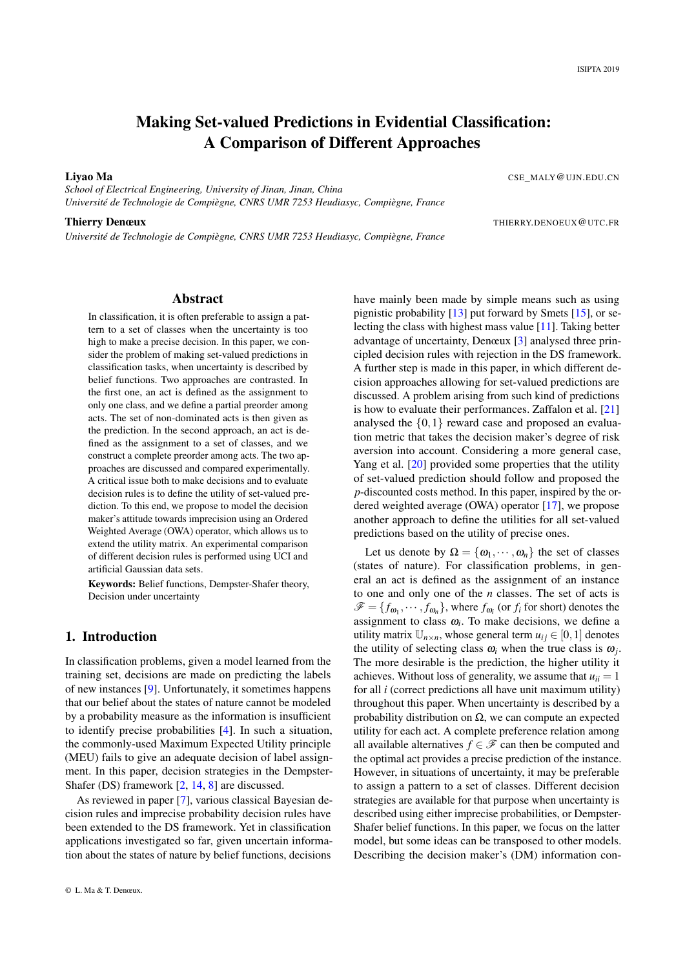# Making Set-valued Predictions in Evidential Classification: A Comparison of Different Approaches

Liyao Ma CSE\_MALY@UJN.EDU.CN

*School of Electrical Engineering, University of Jinan, Jinan, China Université de Technologie de Compiègne, CNRS UMR 7253 Heudiasyc, Compiègne, France*

*Université de Technologie de Compiègne, CNRS UMR 7253 Heudiasyc, Compiègne, France*

Thierry Denœux THIERRY.DENOEUX @UTC.FR

## Abstract

In classification, it is often preferable to assign a pattern to a set of classes when the uncertainty is too high to make a precise decision. In this paper, we consider the problem of making set-valued predictions in classification tasks, when uncertainty is described by belief functions. Two approaches are contrasted. In the first one, an act is defined as the assignment to only one class, and we define a partial preorder among acts. The set of non-dominated acts is then given as the prediction. In the second approach, an act is defined as the assignment to a set of classes, and we construct a complete preorder among acts. The two approaches are discussed and compared experimentally. A critical issue both to make decisions and to evaluate decision rules is to define the utility of set-valued prediction. To this end, we propose to model the decision maker's attitude towards imprecision using an Ordered Weighted Average (OWA) operator, which allows us to extend the utility matrix. An experimental comparison of different decision rules is performed using UCI and artificial Gaussian data sets.

Keywords: Belief functions, Dempster-Shafer theory, Decision under uncertainty

# 1. Introduction

In classification problems, given a model learned from the training set, decisions are made on predicting the labels of new instances [\[9\]](#page-8-0). Unfortunately, it sometimes happens that our belief about the states of nature cannot be modeled by a probability measure as the information is insufficient to identify precise probabilities [\[4\]](#page-8-1). In such a situation, the commonly-used Maximum Expected Utility principle (MEU) fails to give an adequate decision of label assignment. In this paper, decision strategies in the Dempster-Shafer (DS) framework [\[2,](#page-8-2) [14,](#page-8-3) [8\]](#page-8-4) are discussed.

As reviewed in paper [\[7\]](#page-8-5), various classical Bayesian decision rules and imprecise probability decision rules have been extended to the DS framework. Yet in classification applications investigated so far, given uncertain information about the states of nature by belief functions, decisions

have mainly been made by simple means such as using pignistic probability  $[13]$  put forward by Smets  $[15]$ , or selecting the class with highest mass value [\[11\]](#page-8-8). Taking better advantage of uncertainty, Denœux [\[3\]](#page-8-9) analysed three principled decision rules with rejection in the DS framework. A further step is made in this paper, in which different decision approaches allowing for set-valued predictions are discussed. A problem arising from such kind of predictions is how to evaluate their performances. Zaffalon et al. [\[21\]](#page-9-0) analysed the {0,1} reward case and proposed an evaluation metric that takes the decision maker's degree of risk aversion into account. Considering a more general case, Yang et al. [\[20\]](#page-9-1) provided some properties that the utility of set-valued prediction should follow and proposed the *p*-discounted costs method. In this paper, inspired by the ordered weighted average (OWA) operator [\[17\]](#page-9-2), we propose another approach to define the utilities for all set-valued predictions based on the utility of precise ones.

Let us denote by  $\Omega = {\omega_1, \cdots, \omega_n}$  the set of classes (states of nature). For classification problems, in general an act is defined as the assignment of an instance to one and only one of the *n* classes. The set of acts is  $\mathscr{F} = \{f_{\omega_1}, \cdots, f_{\omega_n}\}\,$ , where  $f_{\omega_i}$  (or  $f_i$  for short) denotes the assignment to class  $\omega_i$ . To make decisions, we define a utility matrix  $\mathbb{U}_{n \times n}$ , whose general term  $u_{ij} \in [0,1]$  denotes the utility of selecting class  $\omega_i$  when the true class is  $\omega_j$ . The more desirable is the prediction, the higher utility it achieves. Without loss of generality, we assume that  $u_{ii} = 1$ for all *i* (correct predictions all have unit maximum utility) throughout this paper. When uncertainty is described by a probability distribution on  $Ω$ , we can compute an expected utility for each act. A complete preference relation among all available alternatives  $f \in \mathcal{F}$  can then be computed and the optimal act provides a precise prediction of the instance. However, in situations of uncertainty, it may be preferable to assign a pattern to a set of classes. Different decision strategies are available for that purpose when uncertainty is described using either imprecise probabilities, or Dempster-Shafer belief functions. In this paper, we focus on the latter model, but some ideas can be transposed to other models. Describing the decision maker's (DM) information con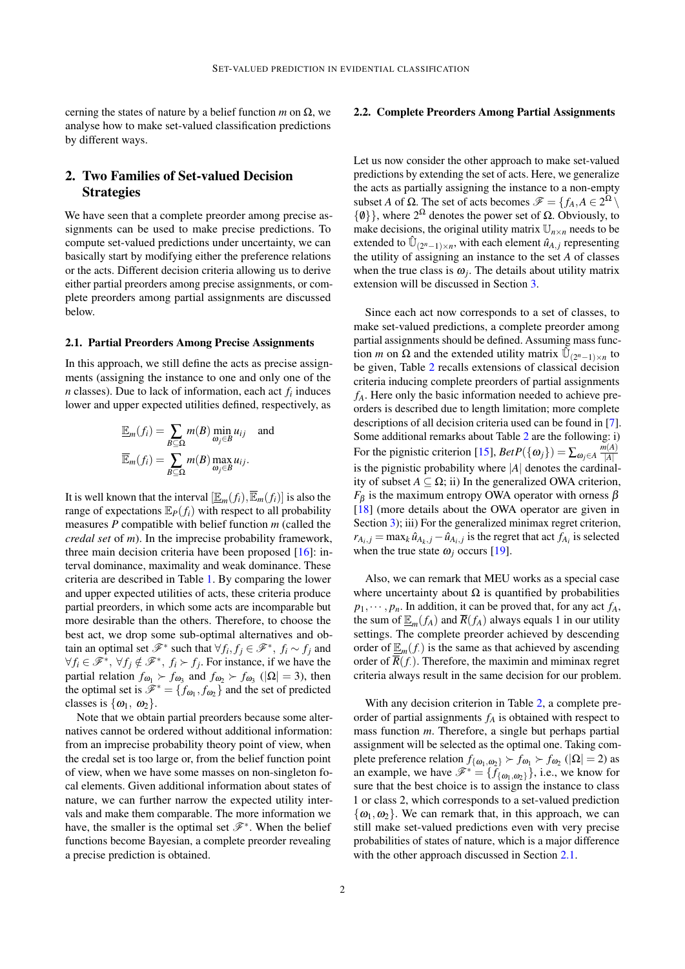cerning the states of nature by a belief function  $m$  on  $\Omega$ , we analyse how to make set-valued classification predictions by different ways.

# <span id="page-1-2"></span>2. Two Families of Set-valued Decision **Strategies**

We have seen that a complete preorder among precise assignments can be used to make precise predictions. To compute set-valued predictions under uncertainty, we can basically start by modifying either the preference relations or the acts. Different decision criteria allowing us to derive either partial preorders among precise assignments, or complete preorders among partial assignments are discussed below.

#### <span id="page-1-0"></span>2.1. Partial Preorders Among Precise Assignments

In this approach, we still define the acts as precise assignments (assigning the instance to one and only one of the *n* classes). Due to lack of information, each act *f<sup>i</sup>* induces lower and upper expected utilities defined, respectively, as

$$
\underline{\mathbb{E}}_m(f_i) = \sum_{B \subseteq \Omega} m(B) \min_{\omega_j \in B} u_{ij} \text{ and}
$$
  

$$
\overline{\mathbb{E}}_m(f_i) = \sum_{B \subseteq \Omega} m(B) \max_{\omega_j \in B} u_{ij}.
$$

It is well known that the interval  $[\mathbb{E}_m(f_i), \mathbb{E}_m(f_i)]$  is also the range of expectations  $\mathbb{E}_P(f_i)$  with respect to all probability measures *P* compatible with belief function *m* (called the *credal set* of *m*). In the imprecise probability framework, three main decision criteria have been proposed [\[16\]](#page-8-10): interval dominance, maximality and weak dominance. These criteria are described in Table [1.](#page-2-0) By comparing the lower and upper expected utilities of acts, these criteria produce partial preorders, in which some acts are incomparable but more desirable than the others. Therefore, to choose the best act, we drop some sub-optimal alternatives and obtain an optimal set  $\mathscr{F}^*$  such that  $\forall f_i, f_j \in \mathscr{F}^*, f_i \sim f_j$  and  $\forall f_i \in \mathcal{F}^*, \forall f_j \notin \mathcal{F}^*, f_i \succ f_j$ . For instance, if we have the partial relation  $f_{\omega_1} > f_{\omega_3}$  and  $f_{\omega_2} > f_{\omega_3}$  ( $|\Omega| = 3$ ), then the optimal set is  $\hat{\mathcal{F}}^* = \{f_{\omega_1}, f_{\omega_2}\}\$  and the set of predicted classes is  $\{\omega_1, \omega_2\}$ .

Note that we obtain partial preorders because some alternatives cannot be ordered without additional information: from an imprecise probability theory point of view, when the credal set is too large or, from the belief function point of view, when we have some masses on non-singleton focal elements. Given additional information about states of nature, we can further narrow the expected utility intervals and make them comparable. The more information we have, the smaller is the optimal set  $\mathscr{F}^*$ . When the belief functions become Bayesian, a complete preorder revealing a precise prediction is obtained.

#### <span id="page-1-1"></span>2.2. Complete Preorders Among Partial Assignments

Let us now consider the other approach to make set-valued predictions by extending the set of acts. Here, we generalize the acts as partially assigning the instance to a non-empty subset *A* of  $\Omega$ . The set of acts becomes  $\mathscr{F} = \{f_A, A \in 2^{\Omega} \setminus \Omega\}$  $\{\emptyset\}$ , where  $2^{\Omega}$  denotes the power set of  $\Omega$ . Obviously, to make decisions, the original utility matrix  $\mathbb{U}_{n \times n}$  needs to be extended to  $\hat{U}_{(2^n-1)\times n}$ , with each element  $\hat{u}_{A,j}$  representing the utility of assigning an instance to the set *A* of classes when the true class is  $\omega_j$ . The details about utility matrix extension will be discussed in Section [3.](#page-2-1)

Since each act now corresponds to a set of classes, to make set-valued predictions, a complete preorder among partial assignments should be defined. Assuming mass function *m* on  $\Omega$  and the extended utility matrix  $\hat{U}_{(2^n-1)\times n}$  to be given, Table [2](#page-2-2) recalls extensions of classical decision criteria inducing complete preorders of partial assignments *fA*. Here only the basic information needed to achieve preorders is described due to length limitation; more complete descriptions of all decision criteria used can be found in [\[7\]](#page-8-5). Some additional remarks about Table [2](#page-2-2) are the following: i) For the pignistic criterion [\[15\]](#page-8-7),  $\text{Det}P(\{\omega_j\}) = \sum_{\omega_j \in A} \frac{m(A)}{|A|}$ |*A*| is the pignistic probability where |*A*| denotes the cardinality of subset  $A \subseteq \Omega$ ; ii) In the generalized OWA criterion,  $F_{\beta}$  is the maximum entropy OWA operator with orness  $\beta$ [\[18\]](#page-9-3) (more details about the OWA operator are given in Section [3\)](#page-2-1); iii) For the generalized minimax regret criterion,  $r_{A_i,j} = \max_k \hat{u}_{A_k,j} - \hat{u}_{A_i,j}$  is the regret that act  $f_{A_i}$  is selected when the true state  $\omega_i$  occurs [\[19\]](#page-9-4).

Also, we can remark that MEU works as a special case where uncertainty about  $\Omega$  is quantified by probabilities  $p_1, \dots, p_n$ . In addition, it can be proved that, for any act  $f_A$ , the sum of  $\underline{\mathbb{E}}_m(f_A)$  and  $R(f_A)$  always equals 1 in our utility settings. The complete preorder achieved by descending order of  $\underline{\mathbb{E}}_m(f)$  is the same as that achieved by ascending order of  $\overline{R}(f)$ . Therefore, the maximin and miminax regret criteria always result in the same decision for our problem.

With any decision criterion in Table [2,](#page-2-2) a complete preorder of partial assignments *f<sup>A</sup>* is obtained with respect to mass function *m*. Therefore, a single but perhaps partial assignment will be selected as the optimal one. Taking complete preference relation  $f_{\{\omega_1,\omega_2\}} \succ f_{\omega_1} \succ f_{\omega_2}$  ( $|\Omega| = 2$ ) as an example, we have  $\mathscr{F}^* = \{f_{\{\omega_1,\omega_2\}}\}\,$ , i.e., we know for sure that the best choice is to assign the instance to class 1 or class 2, which corresponds to a set-valued prediction  $\{\omega_1,\omega_2\}$ . We can remark that, in this approach, we can still make set-valued predictions even with very precise probabilities of states of nature, which is a major difference with the other approach discussed in Section [2.1.](#page-1-0)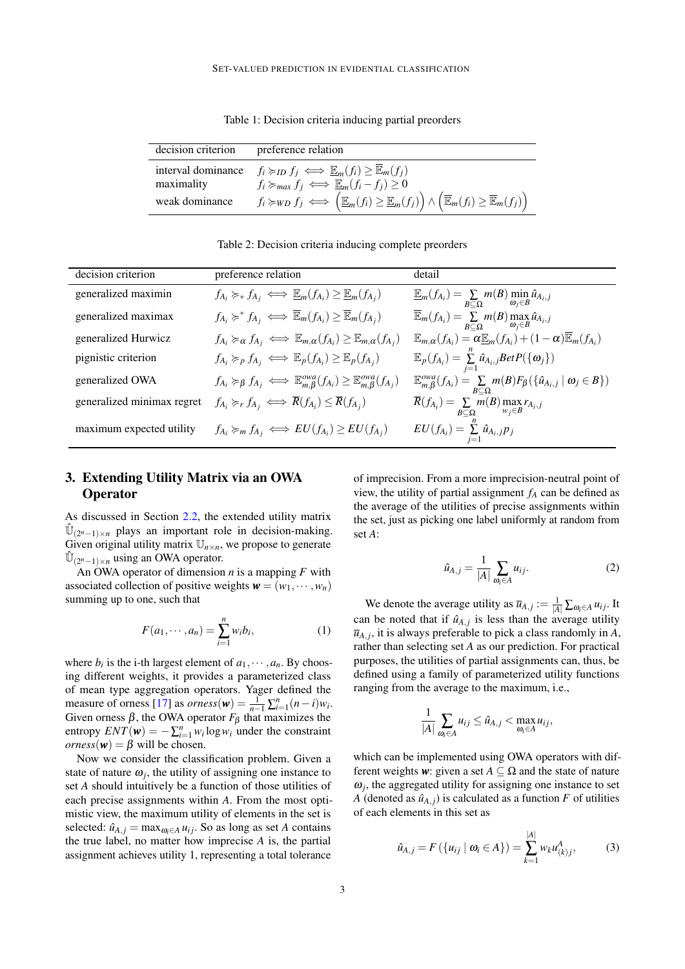<span id="page-2-0"></span>Table 1: Decision criteria inducing partial preorders

| decision criterion               | preference relation                                                                                                                                                              |
|----------------------------------|----------------------------------------------------------------------------------------------------------------------------------------------------------------------------------|
| interval dominance<br>maximality | $f_i \succcurlyeq_{ID} f_j \iff \underline{\mathbb{E}}_m(f_i) \geq \overline{\mathbb{E}}_m(f_j)$<br>$f_i \succcurlyeq_{max} f_j \iff \underline{\mathbb{E}}_m(f_i - f_j) \geq 0$ |
| weak dominance                   | $f_i \geq w_D f_j \iff \left( \mathbb{E}_m(f_i) \geq \mathbb{E}_m(f_j) \right) \wedge \left( \mathbb{E}_m(f_i) \geq \mathbb{E}_m(f_j) \right)$                                   |

<span id="page-2-2"></span>Table 2: Decision criteria inducing complete preorders

| decision criterion         | preference relation                                                                                                        | detail                                                                                                                    |
|----------------------------|----------------------------------------------------------------------------------------------------------------------------|---------------------------------------------------------------------------------------------------------------------------|
| generalized maximin        | $f_{A_i} \succcurlyeq_* f_{A_j} \iff \mathbb{E}_m(f_{A_i}) \geq \mathbb{E}_m(f_{A_j})$                                     | $\mathbb{E}_m(f_{A_i}) = \sum_{B \subset \Omega} m(B) \min_{\omega_j \in B} \hat{u}_{A_i,j}$                              |
| generalized maximax        | $f_{A_i} \succcurlyeq^* f_{A_i} \iff \overline{\mathbb{E}}_m(f_{A_i}) \geq \overline{\mathbb{E}}_m(f_{A_i})$               | $\overline{\mathbb{E}}_m(f_{A_i}) = \sum_{B \subset \Omega} m(B) \max_{\omega_j \in B} \hat{u}_{A_i,j}$                   |
| generalized Hurwicz        | $f_{A_i} \succcurlyeq_{\alpha} f_{A_j} \iff \mathbb{E}_{m,\alpha}(f_{A_i}) \geq \mathbb{E}_{m,\alpha}(f_{A_j})$            | $\mathbb{E}_{m,\alpha}(f_{A_i}) = \alpha \mathbb{E}_m(f_{A_i}) + (1-\alpha)\mathbb{E}_m(f_{A_i})$                         |
| pignistic criterion        | $f_{A_i} \succcurlyeq_p f_{A_j} \iff \mathbb{E}_p(f_{A_i}) \geq \mathbb{E}_p(f_{A_i})$                                     | $\mathbb{E}_p(f_{A_i}) = \sum_{i=1}^n \hat{u}_{A_i,j} BetP(\{\omega_j\})$                                                 |
| generalized OWA            | $f_{A_i} \succcurlyeq_{\beta} f_{A_j} \iff \mathbb{E}_{m, \beta}^{owa}(f_{A_i}) \geq \mathbb{E}_{m, \beta}^{owa}(f_{A_j})$ | $\mathbb{E}_{m,\beta}^{ova}(f_{A_i}) = \sum_{B \subseteq \Omega} m(B) F_{\beta}(\{\hat{u}_{A_i,j} \mid \omega_j \in B\})$ |
| generalized minimax regret | $f_{A_i} \succcurlyeq_r f_{A_j} \iff \overline{R}(f_{A_i}) \leq \overline{R}(f_{A_j})$                                     | $\overline{R}(f_{A_i}) = \sum_{B \subseteq \Omega} m(B) \max_{w_j \in B} r_{A_i,j}$                                       |
| maximum expected utility   | $f_{A_i} \succcurlyeq_m f_{A_j} \iff EU(f_{A_i}) \geq EU(f_{A_j})$                                                         | $EU(f_{A_i}) = \sum_{i=1}^n \hat{u}_{A_i,j} p_j$                                                                          |

# <span id="page-2-1"></span>3. Extending Utility Matrix via an OWA **Operator**

As discussed in Section [2.2,](#page-1-1) the extended utility matrix  $\hat{U}_{(2^n-1)\times n}$  plays an important role in decision-making. Given original utility matrix  $\mathbb{U}_{n \times n}$ , we propose to generate  $\hat{\mathbb{U}}_{(2^n-1)\times n}$  using an OWA operator.

An OWA operator of dimension *n* is a mapping  $F$  with associated collection of positive weights  $\mathbf{w} = (w_1, \dots, w_n)$ summing up to one, such that

$$
F(a_1, \cdots, a_n) = \sum_{i=1}^n w_i b_i,
$$
 (1)

where  $b_i$  is the i-th largest element of  $a_1, \dots, a_n$ . By choosing different weights, it provides a parameterized class of mean type aggregation operators. Yager defined the measure of orness [\[17\]](#page-9-2) as  $orness(\mathbf{w}) = \frac{1}{n-1} \sum_{i=1}^{n} (n-i)w_i$ . Given orness  $\beta$ , the OWA operator  $F_{\beta}$  that maximizes the entropy  $ENT(\mathbf{w}) = -\sum_{i=1}^{n} w_i \log w_i$  under the constraint  $orness(w) = \beta$  will be chosen.

Now we consider the classification problem. Given a state of nature  $\omega_j$ , the utility of assigning one instance to set *A* should intuitively be a function of those utilities of each precise assignments within *A*. From the most optimistic view, the maximum utility of elements in the set is selected:  $\hat{u}_{A,i} = \max_{\omega_i \in A} u_{ij}$ . So as long as set *A* contains the true label, no matter how imprecise *A* is, the partial assignment achieves utility 1, representing a total tolerance

of imprecision. From a more imprecision-neutral point of view, the utility of partial assignment *f<sup>A</sup>* can be defined as the average of the utilities of precise assignments within the set, just as picking one label uniformly at random from set *A*:

$$
\hat{u}_{A,j} = \frac{1}{|A|} \sum_{\omega_i \in A} u_{ij}.
$$
 (2)

We denote the average utility as  $\overline{u}_{A,j} := \frac{1}{|A|} \sum_{\omega_i \in A} u_{ij}$ . It can be noted that if  $\hat{u}_{A,j}$  is less than the average utility  $\overline{u}_{A,j}$ , it is always preferable to pick a class randomly in *A*, rather than selecting set *A* as our prediction. For practical purposes, the utilities of partial assignments can, thus, be defined using a family of parameterized utility functions ranging from the average to the maximum, i.e.,

$$
\frac{1}{|A|}\sum_{\omega_i\in A}u_{ij}\leq \hat{u}_{A,j}<\max_{\omega_i\in A}u_{ij},
$$

which can be implemented using OWA operators with different weights **w**: given a set  $A \subseteq \Omega$  and the state of nature  $\omega_j$ , the aggregated utility for assigning one instance to set *A* (denoted as  $\hat{u}_{A,j}$ ) is calculated as a function *F* of utilities of each elements in this set as

$$
\hat{u}_{A,j} = F(\{u_{ij} \mid \omega_i \in A\}) = \sum_{k=1}^{|A|} w_k u_{(k)j}^A, \tag{3}
$$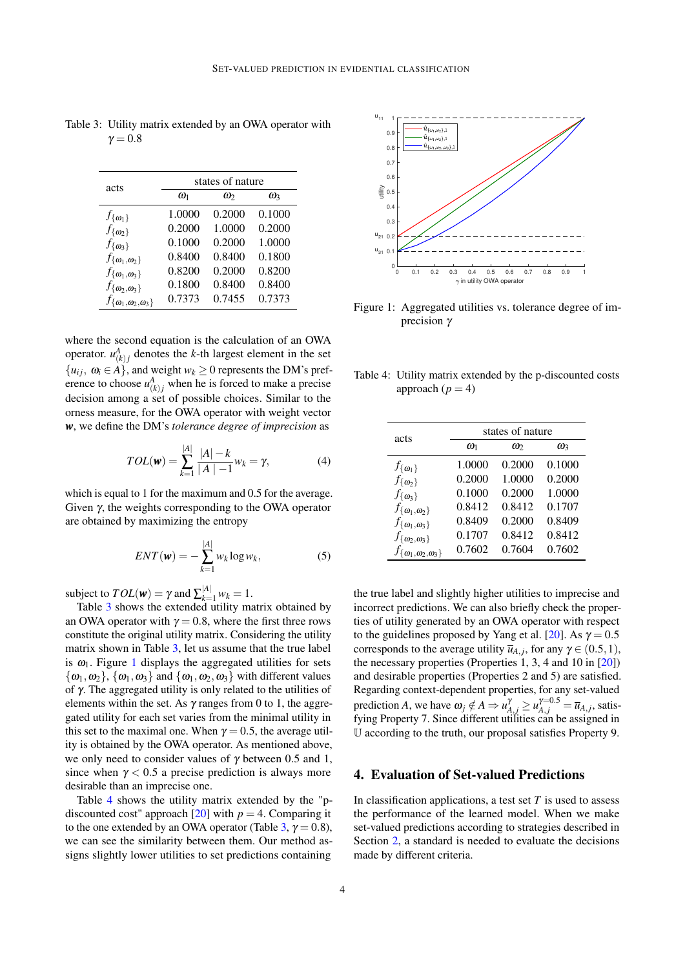| acts                                 | states of nature |          |          |  |  |  |
|--------------------------------------|------------------|----------|----------|--|--|--|
|                                      | $\omega_1$       | $\omega$ | $\omega$ |  |  |  |
| $f_{\{\boldsymbol{\omega}_1\}}$      | 1.0000           | 0.2000   | 0.1000   |  |  |  |
| $f_{\{\boldsymbol{w}_2\}}$           | 0.2000           | 1.0000   | 0.2000   |  |  |  |
| $f_{\{\omega_3\}}$                   | 0.1000           | 0.2000   | 1.0000   |  |  |  |
| $f_{\{\omega_1,\omega_2\}}$          | 0.8400           | 0.8400   | 0.1800   |  |  |  |
| $f_{\{\omega_1,\omega_3\}}$          | 0.8200           | 0.2000   | 0.8200   |  |  |  |
| $f_{\{\omega_2,\omega_3\}}$          | 0.1800           | 0.8400   | 0.8400   |  |  |  |
| $f_{\{\omega_1,\omega_2,\omega_3\}}$ | 0.7373           | 0.7455   | 0.7373   |  |  |  |

<span id="page-3-0"></span>Table 3: Utility matrix extended by an OWA operator with  $\gamma = 0.8$ 

where the second equation is the calculation of an OWA operator.  $u_{(k)j}^A$  denotes the *k*-th largest element in the set  $\{u_{ij}, \omega_i \in A\}$ , and weight  $w_k \geq 0$  represents the DM's preference to choose  $u_{(k)j}^A$  when he is forced to make a precise decision among a set of possible choices. Similar to the orness measure, for the OWA operator with weight vector *w*, we define the DM's *tolerance degree of imprecision* as

$$
TOL(\mathbf{w}) = \sum_{k=1}^{|A|} \frac{|A| - k}{|A| - 1} w_k = \gamma,
$$
 (4)

which is equal to 1 for the maximum and 0.5 for the average. Given  $γ$ , the weights corresponding to the OWA operator are obtained by maximizing the entropy

$$
ENT(\mathbf{w}) = -\sum_{k=1}^{|A|} w_k \log w_k, \tag{5}
$$

subject to  $TOL(w) = \gamma$  and  $\sum_{k=1}^{|A|} w_k = 1$ .

Table [3](#page-3-0) shows the extended utility matrix obtained by an OWA operator with  $\gamma = 0.8$ , where the first three rows constitute the original utility matrix. Considering the utility matrix shown in Table [3,](#page-3-0) let us assume that the true label is  $\omega_1$  $\omega_1$ . Figure 1 displays the aggregated utilities for sets  $\{\omega_1,\omega_2\}$ ,  $\{\omega_1,\omega_3\}$  and  $\{\omega_1,\omega_2,\omega_3\}$  with different values of γ. The aggregated utility is only related to the utilities of elements within the set. As  $\gamma$  ranges from 0 to 1, the aggregated utility for each set varies from the minimal utility in this set to the maximal one. When  $\gamma = 0.5$ , the average utility is obtained by the OWA operator. As mentioned above, we only need to consider values of  $\gamma$  between 0.5 and 1, since when  $\gamma$  < 0.5 a precise prediction is always more desirable than an imprecise one.

Table [4](#page-3-2) shows the utility matrix extended by the "pdiscounted cost" approach  $[20]$  with  $p = 4$ . Comparing it to the one extended by an OWA operator (Table [3,](#page-3-0)  $\gamma = 0.8$ ), we can see the similarity between them. Our method assigns slightly lower utilities to set predictions containing



<span id="page-3-1"></span>Figure 1: Aggregated utilities vs. tolerance degree of imprecision γ

<span id="page-3-2"></span>Table 4: Utility matrix extended by the p-discounted costs approach  $(p = 4)$ 

| acts                                 | states of nature |          |            |  |  |
|--------------------------------------|------------------|----------|------------|--|--|
|                                      | $\omega_1$       | $\omega$ | $\omega_3$ |  |  |
| $f_{\{\boldsymbol{\omega}_1\}}$      | 1.0000           | 0.2000   | 0.1000     |  |  |
| $f_{\{\boldsymbol{\omega}\}}$        | 0.2000           | 1.0000   | 0.2000     |  |  |
| $f_{\{\omega_{3}\}}$                 | 0.1000           | 0.2000   | 1.0000     |  |  |
| $f_{\{\omega_1,\omega_2\}}$          | 0.8412           | 0.8412   | 0.1707     |  |  |
| $f_{\{\omega_1,\omega_3\}}$          | 0.8409           | 0.2000   | 0.8409     |  |  |
| $f_{\{\omega_2,\omega_3\}}$          | 0.1707           | 0.8412   | 0.8412     |  |  |
| $f_{\{\omega_1,\omega_2,\omega_3\}}$ | 0.7602           | 0.7604   | 0.7602     |  |  |

the true label and slightly higher utilities to imprecise and incorrect predictions. We can also briefly check the properties of utility generated by an OWA operator with respect to the guidelines proposed by Yang et al. [\[20\]](#page-9-1). As  $\gamma = 0.5$ corresponds to the average utility  $\bar{u}_{A,j}$ , for any  $\gamma \in (0.5, 1)$ , the necessary properties (Properties 1, 3, 4 and 10 in [\[20\]](#page-9-1)) and desirable properties (Properties 2 and 5) are satisfied. Regarding context-dependent properties, for any set-valued prediction *A*, we have  $\omega_j \notin A \Rightarrow u_{A,j}^{\gamma} \ge u_{A,j}^{\gamma=0.5} = \overline{u}_{A,j}$ , satisfying Property 7. Since different utilities can be assigned in U according to the truth, our proposal satisfies Property 9.

### 4. Evaluation of Set-valued Predictions

In classification applications, a test set *T* is used to assess the performance of the learned model. When we make set-valued predictions according to strategies described in Section [2,](#page-1-2) a standard is needed to evaluate the decisions made by different criteria.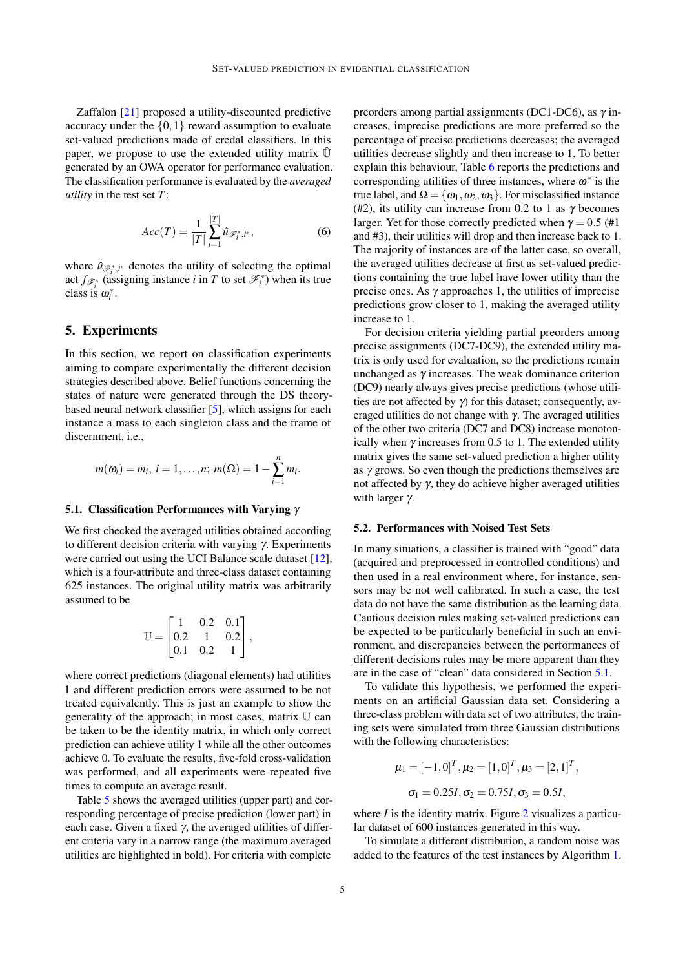Zaffalon [\[21\]](#page-9-0) proposed a utility-discounted predictive accuracy under the  $\{0,1\}$  reward assumption to evaluate set-valued predictions made of credal classifiers. In this paper, we propose to use the extended utility matrix  $\hat{U}$ generated by an OWA operator for performance evaluation. The classification performance is evaluated by the *averaged utility* in the test set *T*:

$$
Acc(T) = \frac{1}{|T|} \sum_{i=1}^{|T|} \hat{u}_{\mathscr{F}_i^*, i^*},
$$
 (6)

where  $\hat{u}_{\mathscr{F}_i^*,i^*}$  denotes the utility of selecting the optimal act  $f_{\mathscr{F}_i^*}$  (assigning instance *i* in *T* to set  $\mathscr{F}_i^*$ ) when its true class is  $\omega_i^*$ .

### 5. Experiments

In this section, we report on classification experiments aiming to compare experimentally the different decision strategies described above. Belief functions concerning the states of nature were generated through the DS theorybased neural network classifier [\[5\]](#page-8-11), which assigns for each instance a mass to each singleton class and the frame of discernment, i.e.,

$$
m(\omega_i) = m_i, i = 1,...,n; m(\Omega) = 1 - \sum_{i=1}^{n} m_i
$$

.

#### <span id="page-4-0"></span>5.1. Classification Performances with Varying  $\gamma$

We first checked the averaged utilities obtained according to different decision criteria with varying γ. Experiments were carried out using the UCI Balance scale dataset [\[12\]](#page-8-12), which is a four-attribute and three-class dataset containing 625 instances. The original utility matrix was arbitrarily assumed to be

$$
\mathbb{U} = \begin{bmatrix} 1 & 0.2 & 0.1 \\ 0.2 & 1 & 0.2 \\ 0.1 & 0.2 & 1 \end{bmatrix},
$$

where correct predictions (diagonal elements) had utilities 1 and different prediction errors were assumed to be not treated equivalently. This is just an example to show the generality of the approach; in most cases, matrix U can be taken to be the identity matrix, in which only correct prediction can achieve utility 1 while all the other outcomes achieve 0. To evaluate the results, five-fold cross-validation was performed, and all experiments were repeated five times to compute an average result.

Table [5](#page-5-0) shows the averaged utilities (upper part) and corresponding percentage of precise prediction (lower part) in each case. Given a fixed  $\gamma$ , the averaged utilities of different criteria vary in a narrow range (the maximum averaged utilities are highlighted in bold). For criteria with complete

preorders among partial assignments (DC1-DC6), as  $\gamma$  increases, imprecise predictions are more preferred so the percentage of precise predictions decreases; the averaged utilities decrease slightly and then increase to 1. To better explain this behaviour, Table [6](#page-5-1) reports the predictions and corresponding utilities of three instances, where  $\omega^*$  is the true label, and  $\Omega = {\omega_1, \omega_2, \omega_3}$ . For misclassified instance (#2), its utility can increase from 0.2 to 1 as  $\gamma$  becomes larger. Yet for those correctly predicted when  $\gamma = 0.5$  (#1) and #3), their utilities will drop and then increase back to 1. The majority of instances are of the latter case, so overall, the averaged utilities decrease at first as set-valued predictions containing the true label have lower utility than the precise ones. As  $\gamma$  approaches 1, the utilities of imprecise predictions grow closer to 1, making the averaged utility increase to 1.

For decision criteria yielding partial preorders among precise assignments (DC7-DC9), the extended utility matrix is only used for evaluation, so the predictions remain unchanged as  $\gamma$  increases. The weak dominance criterion (DC9) nearly always gives precise predictions (whose utilities are not affected by  $\gamma$ ) for this dataset; consequently, averaged utilities do not change with  $\gamma$ . The averaged utilities of the other two criteria (DC7 and DC8) increase monotonically when  $\gamma$  increases from 0.5 to 1. The extended utility matrix gives the same set-valued prediction a higher utility as  $\gamma$  grows. So even though the predictions themselves are not affected by γ, they do achieve higher averaged utilities with larger  $\gamma$ .

#### <span id="page-4-2"></span>5.2. Performances with Noised Test Sets

In many situations, a classifier is trained with "good" data (acquired and preprocessed in controlled conditions) and then used in a real environment where, for instance, sensors may be not well calibrated. In such a case, the test data do not have the same distribution as the learning data. Cautious decision rules making set-valued predictions can be expected to be particularly beneficial in such an environment, and discrepancies between the performances of different decisions rules may be more apparent than they are in the case of "clean" data considered in Section [5.1.](#page-4-0)

To validate this hypothesis, we performed the experiments on an artificial Gaussian data set. Considering a three-class problem with data set of two attributes, the training sets were simulated from three Gaussian distributions with the following characteristics:

$$
\mu_1 = [-1, 0]^T, \mu_2 = [1, 0]^T, \mu_3 = [2, 1]^T,
$$
  

$$
\sigma_1 = 0.25I, \sigma_2 = 0.75I, \sigma_3 = 0.5I,
$$

where *I* is the identity matrix. Figure [2](#page-5-2) visualizes a particular dataset of 600 instances generated in this way.

<span id="page-4-1"></span>To simulate a different distribution, a random noise was added to the features of the test instances by Algorithm [1.](#page-4-1)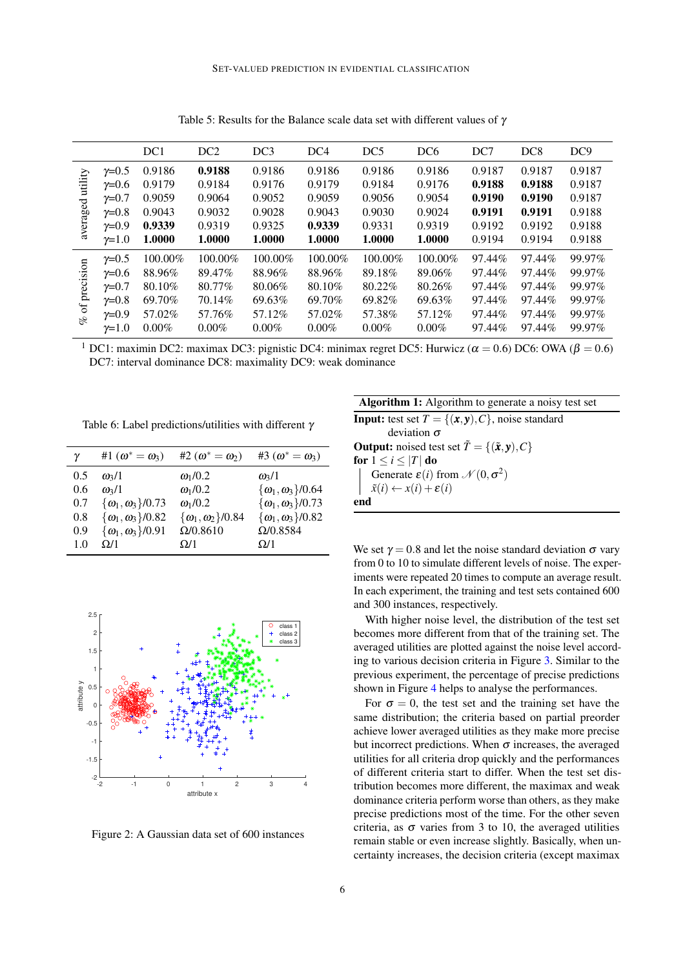|              |                | DC <sub>1</sub> | DC <sub>2</sub> | DC <sub>3</sub> | DC <sub>4</sub> | DC <sub>5</sub> | DC <sub>6</sub> | DC7    | DC <sub>8</sub> | DC <sub>9</sub> |
|--------------|----------------|-----------------|-----------------|-----------------|-----------------|-----------------|-----------------|--------|-----------------|-----------------|
| utility      | $\gamma = 0.5$ | 0.9186          | 0.9188          | 0.9186          | 0.9186          | 0.9186          | 0.9186          | 0.9187 | 0.9187          | 0.9187          |
|              | $\gamma = 0.6$ | 0.9179          | 0.9184          | 0.9176          | 0.9179          | 0.9184          | 0.9176          | 0.9188 | 0.9188          | 0.9187          |
|              | $\gamma = 0.7$ | 0.9059          | 0.9064          | 0.9052          | 0.9059          | 0.9056          | 0.9054          | 0.9190 | 0.9190          | 0.9187          |
|              | $\gamma = 0.8$ | 0.9043          | 0.9032          | 0.9028          | 0.9043          | 0.9030          | 0.9024          | 0.9191 | 0.9191          | 0.9188          |
| averaged     | $\gamma = 0.9$ | 0.9339          | 0.9319          | 0.9325          | 0.9339          | 0.9331          | 0.9319          | 0.9192 | 0.9192          | 0.9188          |
|              | $\gamma = 1.0$ | 1.0000          | 1.0000          | 1.0000          | 1.0000          | 1.0000          | 1.0000          | 0.9194 | 0.9194          | 0.9188          |
|              | $\gamma = 0.5$ | $100.00\%$      | 100.00%         | 100.00%         | 100.00%         | 100.00%         | 100.00%         | 97.44% | 97.44%          | 99.97%          |
|              | $\gamma = 0.6$ | 88.96%          | 89.47%          | 88.96%          | 88.96%          | 89.18%          | 89.06%          | 97.44% | 97.44%          | 99.97%          |
| of precision | $\gamma = 0.7$ | 80.10%          | 80.77%          | 80.06%          | 80.10\%         | 80.22%          | 80.26%          | 97.44% | 97.44%          | 99.97%          |
|              | $\gamma = 0.8$ | 69.70%          | 70.14%          | 69.63%          | 69.70%          | 69.82%          | 69.63%          | 97.44% | 97.44%          | 99.97%          |
| $\mathbb{R}$ | $\gamma = 0.9$ | 57.02%          | 57.76%          | 57.12%          | 57.02%          | 57.38%          | 57.12%          | 97.44% | 97.44%          | 99.97%          |
|              | $\gamma = 1.0$ | $0.00\%$        | $0.00\%$        | $0.00\%$        | $0.00\%$        | $0.00\%$        | $0.00\%$        | 97.44% | 97.44%          | 99.97%          |

<span id="page-5-0"></span>Table 5: Results for the Balance scale data set with different values of  $\gamma$ 

<sup>1</sup> DC1: maximin DC2: maximax DC3: pignistic DC4: minimax regret DC5: Hurwicz ( $\alpha = 0.6$ ) DC6: OWA ( $\beta = 0.6$ ) DC7: interval dominance DC8: maximality DC9: weak dominance

<span id="page-5-1"></span>Table 6: Label predictions/utilities with different γ

| γ   | #1 $(\omega^* = \omega_3)$   | #2 $(\omega^* = \omega_2)$    | #3 $(\omega^* = \omega_3)$   |
|-----|------------------------------|-------------------------------|------------------------------|
| 0.5 | $\omega_3/1$                 | $\omega_1/0.2$                | $\omega_3/1$                 |
| 0.6 | $\omega_3/1$                 | $\omega_1/0.2$                | $\{\omega_1,\omega_3\}/0.64$ |
| 0.7 | $\{\omega_1,\omega_3\}/0.73$ | $\omega_1/0.2$                | $\{\omega_1,\omega_3\}/0.73$ |
| 0.8 | $\{\omega_1,\omega_3\}/0.82$ | $\{\omega_1,\omega_2\}$ /0.84 | $\{\omega_1,\omega_3\}/0.82$ |
| 0.9 | $\{\omega_1,\omega_3\}/0.91$ | $\Omega/0.8610$               | $\Omega/0.8584$              |
| 1.0 | $\Omega/1$                   | $\Omega/1$                    | $\Omega/1$                   |



<span id="page-5-2"></span>Figure 2: A Gaussian data set of 600 instances

Algorithm 1: Algorithm to generate a noisy test set **Input:** test set  $T = \{(\mathbf{x}, \mathbf{y}), C\}$ , noise standard deviation σ Output: noised test set  $\tilde{T} = \{(\tilde{x}, y), C\}$ for  $1 \leq i \leq |T|$  do Generate  $\varepsilon(i)$  from  $\mathcal{N}(0, \sigma^2)$  $\tilde{x}(i) \leftarrow x(i) + \varepsilon(i)$ end

We set  $\gamma = 0.8$  and let the noise standard deviation  $\sigma$  vary from 0 to 10 to simulate different levels of noise. The experiments were repeated 20 times to compute an average result. In each experiment, the training and test sets contained 600 and 300 instances, respectively.

With higher noise level, the distribution of the test set becomes more different from that of the training set. The averaged utilities are plotted against the noise level according to various decision criteria in Figure [3.](#page-6-0) Similar to the previous experiment, the percentage of precise predictions shown in Figure [4](#page-6-1) helps to analyse the performances.

For  $\sigma = 0$ , the test set and the training set have the same distribution; the criteria based on partial preorder achieve lower averaged utilities as they make more precise but incorrect predictions. When  $\sigma$  increases, the averaged utilities for all criteria drop quickly and the performances of different criteria start to differ. When the test set distribution becomes more different, the maximax and weak dominance criteria perform worse than others, as they make precise predictions most of the time. For the other seven criteria, as  $\sigma$  varies from 3 to 10, the averaged utilities remain stable or even increase slightly. Basically, when uncertainty increases, the decision criteria (except maximax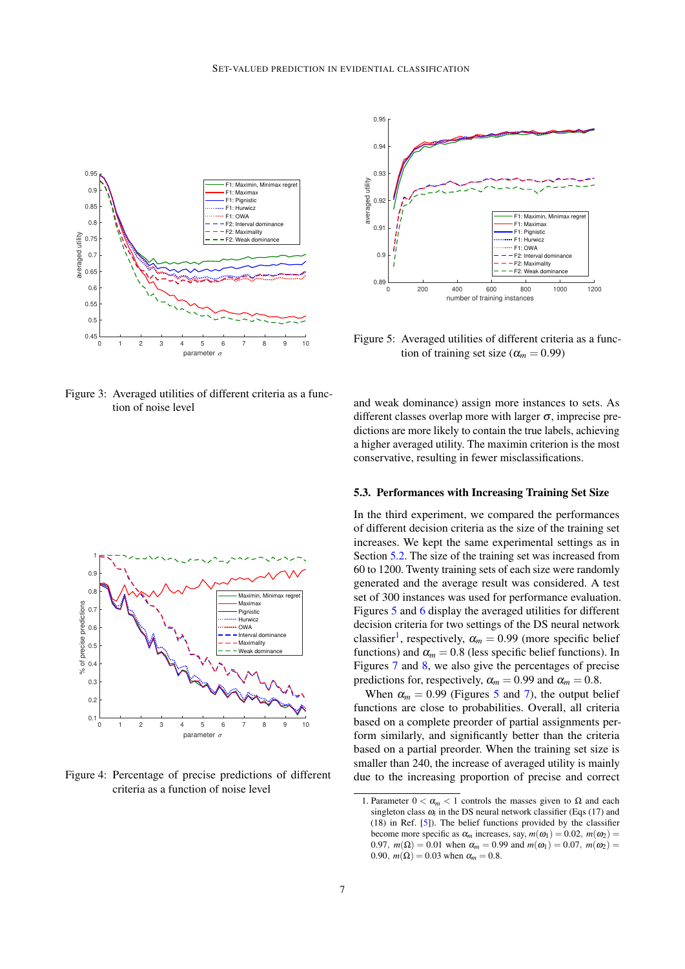

<span id="page-6-0"></span>Figure 3: Averaged utilities of different criteria as a function of noise level



<span id="page-6-1"></span>Figure 4: Percentage of precise predictions of different criteria as a function of noise level



<span id="page-6-2"></span>Figure 5: Averaged utilities of different criteria as a function of training set size ( $\alpha_m = 0.99$ )

and weak dominance) assign more instances to sets. As different classes overlap more with larger  $\sigma$ , imprecise predictions are more likely to contain the true labels, achieving a higher averaged utility. The maximin criterion is the most conservative, resulting in fewer misclassifications.

#### 5.3. Performances with Increasing Training Set Size

In the third experiment, we compared the performances of different decision criteria as the size of the training set increases. We kept the same experimental settings as in Section [5.2.](#page-4-2) The size of the training set was increased from 60 to 1200. Twenty training sets of each size were randomly generated and the average result was considered. A test set of 300 instances was used for performance evaluation. Figures [5](#page-6-2) and [6](#page-7-0) display the averaged utilities for different decision criteria for two settings of the DS neural network classifier<sup>[1](#page-6-3)</sup>, respectively,  $\alpha_m = 0.99$  (more specific belief functions) and  $\alpha_m = 0.8$  (less specific belief functions). In Figures [7](#page-7-1) and [8,](#page-7-2) we also give the percentages of precise predictions for, respectively,  $\alpha_m = 0.99$  and  $\alpha_m = 0.8$ .

When  $\alpha_m = 0.99$  (Figures [5](#page-6-2) and [7\)](#page-7-1), the output belief functions are close to probabilities. Overall, all criteria based on a complete preorder of partial assignments perform similarly, and significantly better than the criteria based on a partial preorder. When the training set size is smaller than 240, the increase of averaged utility is mainly due to the increasing proportion of precise and correct

<span id="page-6-3"></span><sup>1.</sup> Parameter  $0 < \alpha_m < 1$  controls the masses given to  $\Omega$  and each singleton class  $\omega_i$  in the DS neural network classifier (Eqs (17) and (18) in Ref. [\[5\]](#page-8-11)). The belief functions provided by the classifier become more specific as  $\alpha_m$  increases, say,  $m(\omega_1) = 0.02$ ,  $m(\omega_2) =$ 0.97,  $m(\Omega) = 0.01$  when  $\alpha_m = 0.99$  and  $m(\omega_1) = 0.07$ ,  $m(\omega_2) =$ 0.90,  $m(\Omega) = 0.03$  when  $\alpha_m = 0.8$ .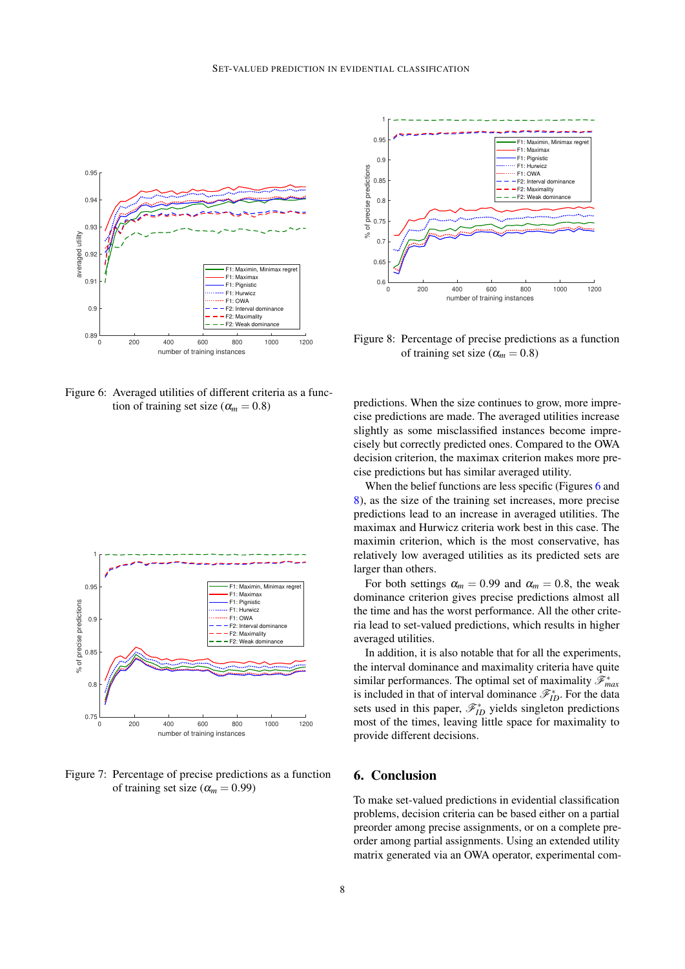

<span id="page-7-0"></span>Figure 6: Averaged utilities of different criteria as a function of training set size ( $\alpha_m = 0.8$ )



<span id="page-7-1"></span>Figure 7: Percentage of precise predictions as a function of training set size ( $\alpha_m = 0.99$ )



<span id="page-7-2"></span>Figure 8: Percentage of precise predictions as a function of training set size ( $\alpha_m = 0.8$ )

predictions. When the size continues to grow, more imprecise predictions are made. The averaged utilities increase slightly as some misclassified instances become imprecisely but correctly predicted ones. Compared to the OWA decision criterion, the maximax criterion makes more precise predictions but has similar averaged utility.

When the belief functions are less specific (Figures [6](#page-7-0) and [8\)](#page-7-2), as the size of the training set increases, more precise predictions lead to an increase in averaged utilities. The maximax and Hurwicz criteria work best in this case. The maximin criterion, which is the most conservative, has relatively low averaged utilities as its predicted sets are larger than others.

For both settings  $\alpha_m = 0.99$  and  $\alpha_m = 0.8$ , the weak dominance criterion gives precise predictions almost all the time and has the worst performance. All the other criteria lead to set-valued predictions, which results in higher averaged utilities.

In addition, it is also notable that for all the experiments, the interval dominance and maximality criteria have quite similar performances. The optimal set of maximality  $\mathscr{F}^*_{max}$ is included in that of interval dominance  $\mathcal{F}_{ID}^*$ . For the data sets used in this paper,  $\mathcal{F}_{ID}^{*}$  yields singleton predictions most of the times, leaving little space for maximality to provide different decisions.

# 6. Conclusion

To make set-valued predictions in evidential classification problems, decision criteria can be based either on a partial preorder among precise assignments, or on a complete preorder among partial assignments. Using an extended utility matrix generated via an OWA operator, experimental com-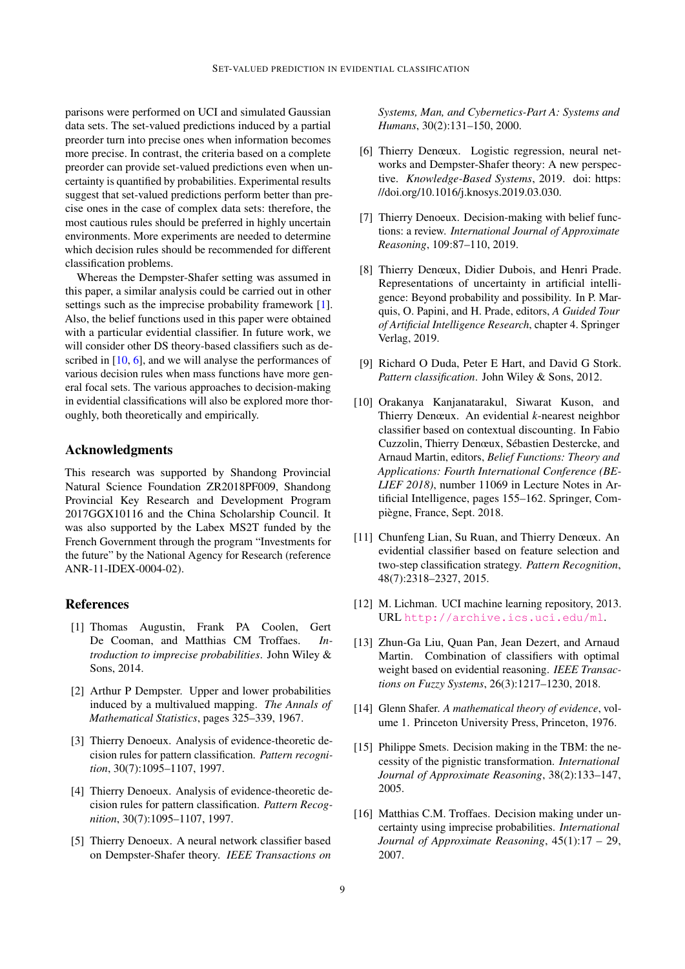parisons were performed on UCI and simulated Gaussian data sets. The set-valued predictions induced by a partial preorder turn into precise ones when information becomes more precise. In contrast, the criteria based on a complete preorder can provide set-valued predictions even when uncertainty is quantified by probabilities. Experimental results suggest that set-valued predictions perform better than precise ones in the case of complex data sets: therefore, the most cautious rules should be preferred in highly uncertain environments. More experiments are needed to determine which decision rules should be recommended for different classification problems.

Whereas the Dempster-Shafer setting was assumed in this paper, a similar analysis could be carried out in other settings such as the imprecise probability framework [\[1\]](#page-8-13). Also, the belief functions used in this paper were obtained with a particular evidential classifier. In future work, we will consider other DS theory-based classifiers such as described in  $[10, 6]$  $[10, 6]$  $[10, 6]$ , and we will analyse the performances of various decision rules when mass functions have more general focal sets. The various approaches to decision-making in evidential classifications will also be explored more thoroughly, both theoretically and empirically.

### Acknowledgments

This research was supported by Shandong Provincial Natural Science Foundation ZR2018PF009, Shandong Provincial Key Research and Development Program 2017GGX10116 and the China Scholarship Council. It was also supported by the Labex MS2T funded by the French Government through the program "Investments for the future" by the National Agency for Research (reference ANR-11-IDEX-0004-02).

#### References

- <span id="page-8-13"></span>[1] Thomas Augustin, Frank PA Coolen, Gert De Cooman, and Matthias CM Troffaes. *Introduction to imprecise probabilities*. John Wiley & Sons, 2014.
- <span id="page-8-2"></span>[2] Arthur P Dempster. Upper and lower probabilities induced by a multivalued mapping. *The Annals of Mathematical Statistics*, pages 325–339, 1967.
- <span id="page-8-9"></span>[3] Thierry Denoeux. Analysis of evidence-theoretic decision rules for pattern classification. *Pattern recognition*, 30(7):1095–1107, 1997.
- <span id="page-8-1"></span>[4] Thierry Denoeux. Analysis of evidence-theoretic decision rules for pattern classification. *Pattern Recognition*, 30(7):1095–1107, 1997.
- <span id="page-8-11"></span>[5] Thierry Denoeux. A neural network classifier based on Dempster-Shafer theory. *IEEE Transactions on*

*Systems, Man, and Cybernetics-Part A: Systems and Humans*, 30(2):131–150, 2000.

- <span id="page-8-15"></span>[6] Thierry Denœux. Logistic regression, neural networks and Dempster-Shafer theory: A new perspective. *Knowledge-Based Systems*, 2019. doi: https: //doi.org/10.1016/j.knosys.2019.03.030.
- <span id="page-8-5"></span>[7] Thierry Denoeux. Decision-making with belief functions: a review. *International Journal of Approximate Reasoning*, 109:87–110, 2019.
- <span id="page-8-4"></span>[8] Thierry Denœux, Didier Dubois, and Henri Prade. Representations of uncertainty in artificial intelligence: Beyond probability and possibility. In P. Marquis, O. Papini, and H. Prade, editors, *A Guided Tour of Artificial Intelligence Research*, chapter 4. Springer Verlag, 2019.
- <span id="page-8-0"></span>[9] Richard O Duda, Peter E Hart, and David G Stork. *Pattern classification*. John Wiley & Sons, 2012.
- <span id="page-8-14"></span>[10] Orakanya Kanjanatarakul, Siwarat Kuson, and Thierry Denœux. An evidential *k*-nearest neighbor classifier based on contextual discounting. In Fabio Cuzzolin, Thierry Denœux, Sébastien Destercke, and Arnaud Martin, editors, *Belief Functions: Theory and Applications: Fourth International Conference (BE-LIEF 2018)*, number 11069 in Lecture Notes in Artificial Intelligence, pages 155–162. Springer, Compiègne, France, Sept. 2018.
- <span id="page-8-8"></span>[11] Chunfeng Lian, Su Ruan, and Thierry Denœux. An evidential classifier based on feature selection and two-step classification strategy. *Pattern Recognition*, 48(7):2318–2327, 2015.
- <span id="page-8-12"></span>[12] M. Lichman. UCI machine learning repository, 2013. URL <http://archive.ics.uci.edu/ml>.
- <span id="page-8-6"></span>[13] Zhun-Ga Liu, Quan Pan, Jean Dezert, and Arnaud Martin. Combination of classifiers with optimal weight based on evidential reasoning. *IEEE Transactions on Fuzzy Systems*, 26(3):1217–1230, 2018.
- <span id="page-8-3"></span>[14] Glenn Shafer. *A mathematical theory of evidence*, volume 1. Princeton University Press, Princeton, 1976.
- <span id="page-8-7"></span>[15] Philippe Smets. Decision making in the TBM: the necessity of the pignistic transformation. *International Journal of Approximate Reasoning*, 38(2):133–147, 2005.
- <span id="page-8-10"></span>[16] Matthias C.M. Troffaes. Decision making under uncertainty using imprecise probabilities. *International Journal of Approximate Reasoning*, 45(1):17 – 29, 2007.